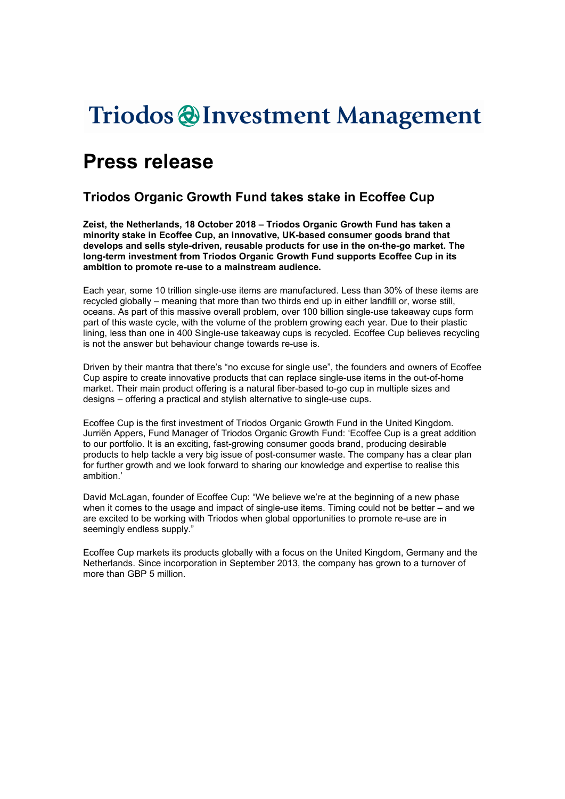# Triodos @Investment Management

## Press release

## Triodos Organic Growth Fund takes stake in Ecoffee Cup

Zeist, the Netherlands, 18 October 2018 – Triodos Organic Growth Fund has taken a minority stake in Ecoffee Cup, an innovative, UK-based consumer goods brand that develops and sells style-driven, reusable products for use in the on-the-go market. The long-term investment from Triodos Organic Growth Fund supports Ecoffee Cup in its ambition to promote re-use to a mainstream audience.

Each year, some 10 trillion single-use items are manufactured. Less than 30% of these items are recycled globally – meaning that more than two thirds end up in either landfill or, worse still, oceans. As part of this massive overall problem, over 100 billion single-use takeaway cups form part of this waste cycle, with the volume of the problem growing each year. Due to their plastic lining, less than one in 400 Single-use takeaway cups is recycled. Ecoffee Cup believes recycling is not the answer but behaviour change towards re-use is.

Driven by their mantra that there's "no excuse for single use", the founders and owners of Ecoffee Cup aspire to create innovative products that can replace single-use items in the out-of-home market. Their main product offering is a natural fiber-based to-go cup in multiple sizes and designs – offering a practical and stylish alternative to single-use cups.

Ecoffee Cup is the first investment of Triodos Organic Growth Fund in the United Kingdom. Jurriën Appers, Fund Manager of Triodos Organic Growth Fund: 'Ecoffee Cup is a great addition to our portfolio. It is an exciting, fast-growing consumer goods brand, producing desirable products to help tackle a very big issue of post-consumer waste. The company has a clear plan for further growth and we look forward to sharing our knowledge and expertise to realise this ambition.'

David McLagan, founder of Ecoffee Cup: "We believe we're at the beginning of a new phase when it comes to the usage and impact of single-use items. Timing could not be better – and we are excited to be working with Triodos when global opportunities to promote re-use are in seemingly endless supply."

Ecoffee Cup markets its products globally with a focus on the United Kingdom, Germany and the Netherlands. Since incorporation in September 2013, the company has grown to a turnover of more than GBP 5 million.